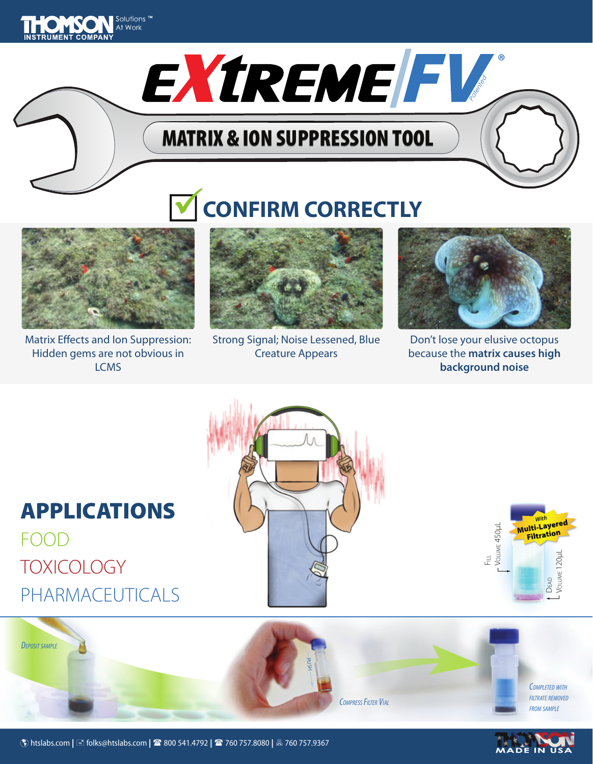

MATRIX & ION SUPPRESSION TOOL

# **CONFIRM CORRECTLY**



Matrix Effects and Ion Suppression: Hidden gems are not obvious in **LCMS** 



Strong Signal; Noise Lessened, Blue Creature Appears



Patented

**®**

Don't lose your elusive octopus because the **matrix causes high background noise**

## APPLICATIONS FOOD **TOXICOLOGY** PHARMACEUTICALS